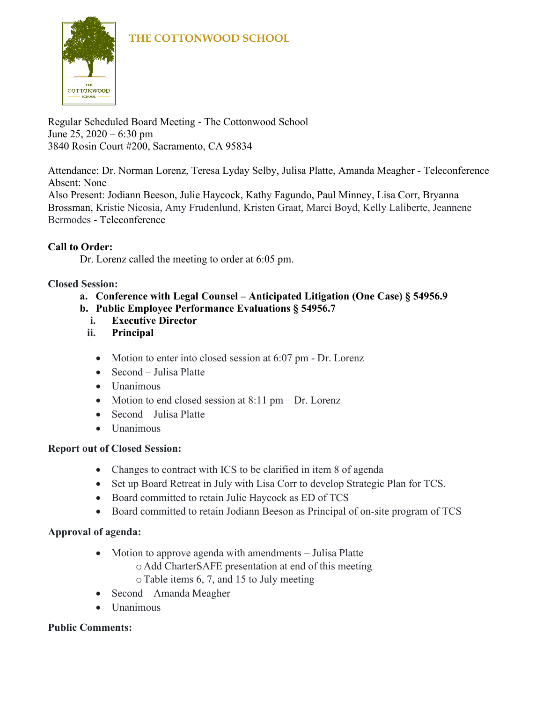

Regular Scheduled Board Meeting - The Cottonwood School June 25, 2020 – 6:30 pm 3840 Rosin Court #200, Sacramento, CA 95834

Attendance: Dr. Norman Lorenz, Teresa Lyday Selby, Julisa Platte, Amanda Meagher - Teleconference Absent: None

Also Present: Jodiann Beeson, Julie Haycock, Kathy Fagundo, Paul Minney, Lisa Corr, Bryanna Brossman, Kristie Nicosia, Amy Frudenlund, Kristen Graat, Marci Boyd, Kelly Laliberte, Jeannene Bermodes - Teleconference

# **Call to Order:**

Dr. Lorenz called the meeting to order at 6:05 pm.

#### **Closed Session:**

- **a. Conference with Legal Counsel – Anticipated Litigation (One Case) § 54956.9**
- **b. Public Employee Performance Evaluations § 54956.7**
	- **i. Executive Director**
	- **ii. Principal** 
		- Motion to enter into closed session at 6:07 pm Dr. Lorenz
		- Second Julisa Platte
		- Unanimous
		- Motion to end closed session at  $8:11 \text{ pm} \text{Dr}$ . Lorenz
		- Second Julisa Platte
		- Unanimous

#### **Report out of Closed Session:**

- Changes to contract with ICS to be clarified in item 8 of agenda
- Set up Board Retreat in July with Lisa Corr to develop Strategic Plan for TCS.
- Board committed to retain Julie Haycock as ED of TCS
- Board committed to retain Jodiann Beeson as Principal of on-site program of TCS

#### **Approval of agenda:**

- Motion to approve agenda with amendments Julisa Platte
	- o Add CharterSAFE presentation at end of this meeting
		- oTable items 6, 7, and 15 to July meeting
- Second Amanda Meagher
- Unanimous

#### **Public Comments:**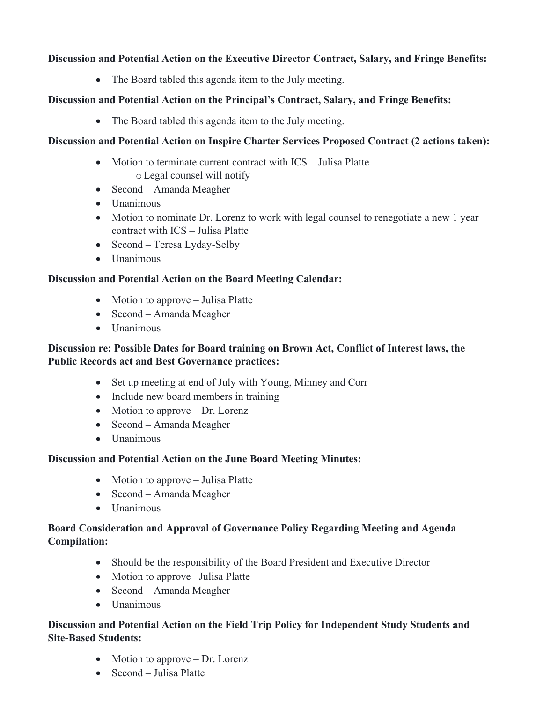#### **Discussion and Potential Action on the Executive Director Contract, Salary, and Fringe Benefits:**

• The Board tabled this agenda item to the July meeting.

#### **Discussion and Potential Action on the Principal's Contract, Salary, and Fringe Benefits:**

• The Board tabled this agenda item to the July meeting.

#### **Discussion and Potential Action on Inspire Charter Services Proposed Contract (2 actions taken):**

- Motion to terminate current contract with ICS Julisa Platte oLegal counsel will notify
- Second Amanda Meagher
- Unanimous
- Motion to nominate Dr. Lorenz to work with legal counsel to renegotiate a new 1 year contract with ICS – Julisa Platte
- Second Teresa Lyday-Selby
- Unanimous

#### **Discussion and Potential Action on the Board Meeting Calendar:**

- Motion to approve Julisa Platte
- Second Amanda Meagher
- Unanimous

#### **Discussion re: Possible Dates for Board training on Brown Act, Conflict of Interest laws, the Public Records act and Best Governance practices:**

- Set up meeting at end of July with Young, Minney and Corr
- Include new board members in training
- Motion to approve Dr. Lorenz
- Second Amanda Meagher
- Unanimous

#### **Discussion and Potential Action on the June Board Meeting Minutes:**

- Motion to approve Julisa Platte
- Second Amanda Meagher
- Unanimous

#### **Board Consideration and Approval of Governance Policy Regarding Meeting and Agenda Compilation:**

- Should be the responsibility of the Board President and Executive Director
- Motion to approve –Julisa Platte
- Second Amanda Meagher
- Unanimous

#### **Discussion and Potential Action on the Field Trip Policy for Independent Study Students and Site-Based Students:**

- Motion to approve Dr. Lorenz
- Second Julisa Platte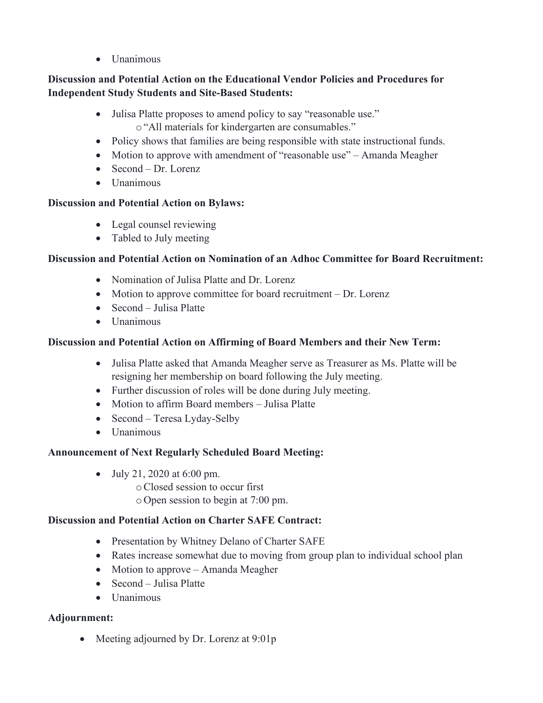• Unanimous

#### **Discussion and Potential Action on the Educational Vendor Policies and Procedures for Independent Study Students and Site-Based Students:**

- Julisa Platte proposes to amend policy to say "reasonable use." o"All materials for kindergarten are consumables."
- Policy shows that families are being responsible with state instructional funds.
- Motion to approve with amendment of "reasonable use" Amanda Meagher
- Second Dr. Lorenz
- Unanimous

# **Discussion and Potential Action on Bylaws:**

- Legal counsel reviewing
- Tabled to July meeting

# **Discussion and Potential Action on Nomination of an Adhoc Committee for Board Recruitment:**

- Nomination of Julisa Platte and Dr. Lorenz
- Motion to approve committee for board recruitment Dr. Lorenz
- Second Julisa Platte
- Unanimous

# **Discussion and Potential Action on Affirming of Board Members and their New Term:**

- Julisa Platte asked that Amanda Meagher serve as Treasurer as Ms. Platte will be resigning her membership on board following the July meeting.
- Further discussion of roles will be done during July meeting.
- Motion to affirm Board members Julisa Platte
- Second Teresa Lyday-Selby
- Unanimous

#### **Announcement of Next Regularly Scheduled Board Meeting:**

- July 21, 2020 at 6:00 pm.
	- oClosed session to occur first
	- o Open session to begin at 7:00 pm.

#### **Discussion and Potential Action on Charter SAFE Contract:**

- Presentation by Whitney Delano of Charter SAFE
- Rates increase somewhat due to moving from group plan to individual school plan
- Motion to approve Amanda Meagher
- Second Julisa Platte
- Unanimous

# **Adjournment:**

• Meeting adjourned by Dr. Lorenz at 9:01p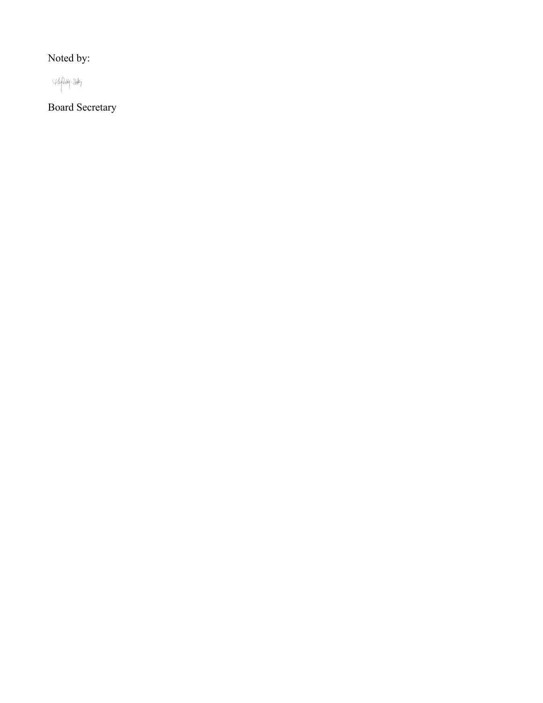Noted by:



Board Secretary